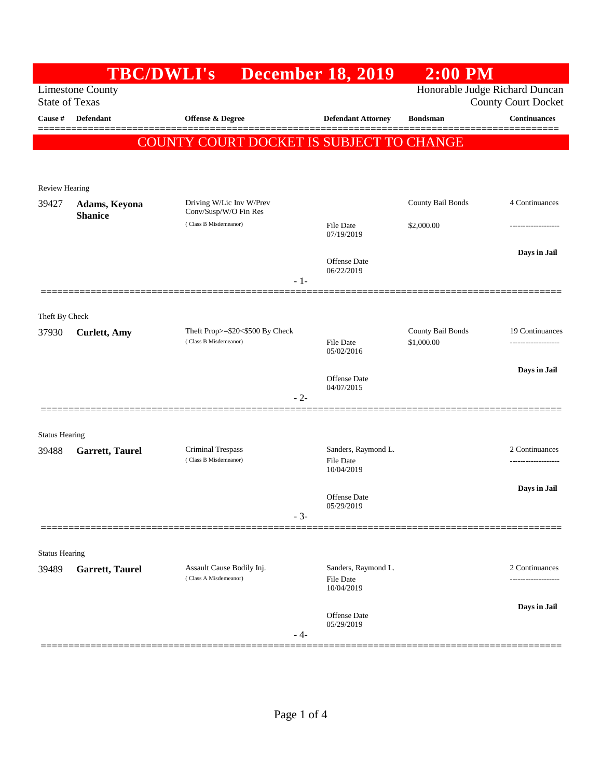|                                                                                    |                                                                              | <b>TBC/DWLI's</b>                                 | <b>December 18, 2019</b>                              | $2:00$ PM         |                            |
|------------------------------------------------------------------------------------|------------------------------------------------------------------------------|---------------------------------------------------|-------------------------------------------------------|-------------------|----------------------------|
| Honorable Judge Richard Duncan<br><b>Limestone County</b><br><b>State of Texas</b> |                                                                              |                                                   |                                                       |                   | <b>County Court Docket</b> |
| Cause #                                                                            | <b>Defendant</b>                                                             | <b>Offense &amp; Degree</b>                       | <b>Defendant Attorney</b>                             | <b>Bondsman</b>   | <b>Continuances</b>        |
|                                                                                    |                                                                              | COUNTY COURT DOCKET IS SUBJECT TO CHANGE          |                                                       |                   |                            |
|                                                                                    |                                                                              |                                                   |                                                       |                   |                            |
| <b>Review Hearing</b>                                                              |                                                                              |                                                   |                                                       |                   |                            |
| 39427                                                                              | Adams, Keyona                                                                | Driving W/Lic Inv W/Prev<br>Conv/Susp/W/O Fin Res |                                                       | County Bail Bonds | 4 Continuances             |
|                                                                                    | <b>Shanice</b>                                                               | (Class B Misdemeanor)                             | <b>File Date</b><br>07/19/2019                        | \$2,000.00        |                            |
|                                                                                    |                                                                              |                                                   |                                                       |                   | Days in Jail               |
|                                                                                    |                                                                              |                                                   | Offense Date<br>06/22/2019                            |                   |                            |
|                                                                                    |                                                                              | $-1-$                                             |                                                       |                   |                            |
| Theft By Check                                                                     |                                                                              |                                                   |                                                       |                   |                            |
| 37930                                                                              | <b>Curlett</b> , Amy                                                         | Theft Prop>=\$20<\$500 By Check                   |                                                       | County Bail Bonds | 19 Continuances            |
|                                                                                    |                                                                              | (Class B Misdemeanor)                             | File Date<br>05/02/2016                               | \$1,000.00        | -------------------        |
|                                                                                    |                                                                              |                                                   | <b>Offense Date</b>                                   |                   | Days in Jail               |
|                                                                                    |                                                                              | $-2-$                                             | 04/07/2015                                            |                   |                            |
|                                                                                    |                                                                              |                                                   |                                                       |                   |                            |
| <b>Status Hearing</b>                                                              |                                                                              |                                                   |                                                       |                   |                            |
| 39488                                                                              | Garrett, Taurel                                                              | Criminal Trespass<br>(Class B Misdemeanor)        | Sanders, Raymond L.<br><b>File Date</b><br>10/04/2019 |                   | 2 Continuances             |
|                                                                                    |                                                                              |                                                   |                                                       |                   | Days in Jail               |
|                                                                                    |                                                                              |                                                   | Offense Date<br>05/29/2019                            |                   |                            |
|                                                                                    |                                                                              | $-3-$                                             |                                                       |                   |                            |
| <b>Status Hearing</b>                                                              |                                                                              |                                                   |                                                       |                   |                            |
| 39489                                                                              | Assault Cause Bodily Inj.<br><b>Garrett, Taurel</b><br>(Class A Misdemeanor) |                                                   | Sanders, Raymond L.                                   |                   | 2 Continuances             |
|                                                                                    |                                                                              |                                                   | <b>File Date</b><br>10/04/2019                        |                   |                            |
|                                                                                    |                                                                              |                                                   | Offense Date                                          |                   | Days in Jail               |
|                                                                                    |                                                                              | $-4-$                                             | 05/29/2019                                            |                   |                            |
|                                                                                    |                                                                              |                                                   |                                                       |                   |                            |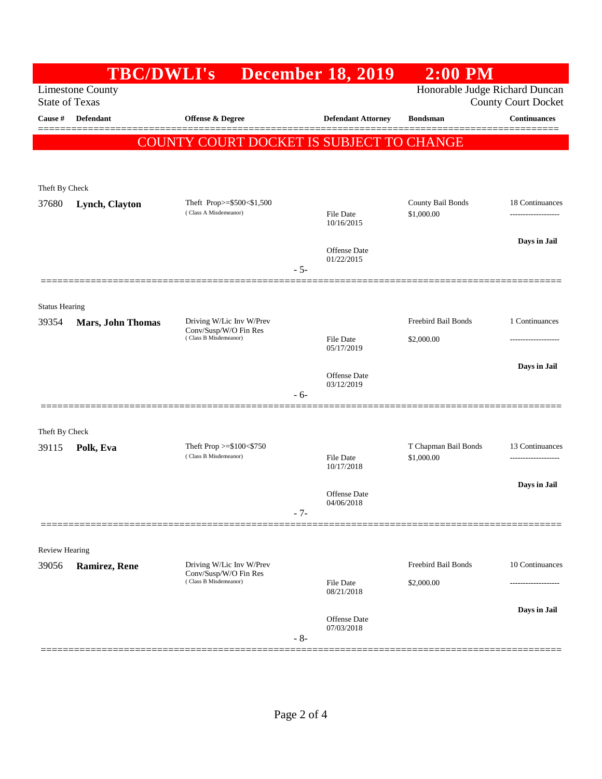|                                                                                                                  | <b>TBC/DWLI's</b>        |                                                     | <b>December 18, 2019</b>  | $2:00$ PM                          |                      |
|------------------------------------------------------------------------------------------------------------------|--------------------------|-----------------------------------------------------|---------------------------|------------------------------------|----------------------|
| Honorable Judge Richard Duncan<br><b>Limestone County</b><br><b>State of Texas</b><br><b>County Court Docket</b> |                          |                                                     |                           |                                    |                      |
| Cause #                                                                                                          | Defendant                | Offense & Degree                                    | <b>Defendant Attorney</b> | <b>Bondsman</b>                    | <b>Continuances</b>  |
|                                                                                                                  |                          | COUNTY COURT DOCKET IS SUBJECT TO CHANGE            |                           |                                    |                      |
|                                                                                                                  |                          |                                                     |                           |                                    |                      |
| Theft By Check                                                                                                   |                          |                                                     |                           |                                    |                      |
| 37680                                                                                                            | Lynch, Clayton           | Theft Prop>=\$500<\$1,500                           |                           | County Bail Bonds                  | 18 Continuances      |
|                                                                                                                  |                          | (Class A Misdemeanor)                               | File Date<br>10/16/2015   | \$1,000.00                         |                      |
|                                                                                                                  |                          |                                                     | Offense Date              |                                    | Days in Jail         |
|                                                                                                                  |                          |                                                     | 01/22/2015<br>$-5-$       |                                    |                      |
|                                                                                                                  |                          |                                                     |                           |                                    |                      |
| <b>Status Hearing</b>                                                                                            |                          |                                                     |                           |                                    |                      |
| 39354                                                                                                            | <b>Mars, John Thomas</b> | Driving W/Lic Inv W/Prev<br>Conv/Susp/W/O Fin Res   |                           | Freebird Bail Bonds                | 1 Continuances       |
|                                                                                                                  |                          | (Class B Misdemeanor)                               | File Date<br>05/17/2019   | \$2,000.00                         |                      |
|                                                                                                                  |                          |                                                     | Offense Date              |                                    | Days in Jail         |
|                                                                                                                  |                          |                                                     | 03/12/2019<br>$-6-$       |                                    |                      |
|                                                                                                                  |                          |                                                     |                           |                                    |                      |
| Theft By Check                                                                                                   |                          |                                                     |                           |                                    |                      |
| 39115                                                                                                            | Polk, Eva                | Theft Prop $>=\$100<\$750$<br>(Class B Misdemeanor) | <b>File Date</b>          | T Chapman Bail Bonds<br>\$1,000.00 | 13 Continuances<br>. |
|                                                                                                                  |                          |                                                     | 10/17/2018                |                                    |                      |
|                                                                                                                  |                          |                                                     | Offense Date              |                                    | Days in Jail         |
|                                                                                                                  |                          |                                                     | 04/06/2018<br>$-7-$       |                                    |                      |
|                                                                                                                  |                          |                                                     |                           |                                    |                      |
| Review Hearing<br>39056                                                                                          |                          | Driving W/Lic Inv W/Prev                            |                           | Freebird Bail Bonds                | 10 Continuances      |
|                                                                                                                  | Ramirez, Rene            | Conv/Susp/W/O Fin Res<br>(Class B Misdemeanor)      | <b>File Date</b>          | \$2,000.00                         |                      |
|                                                                                                                  |                          |                                                     | 08/21/2018                |                                    |                      |
|                                                                                                                  |                          |                                                     | Offense Date              |                                    | Days in Jail         |
|                                                                                                                  |                          |                                                     | 07/03/2018<br>$-8-$       |                                    |                      |
|                                                                                                                  |                          |                                                     |                           |                                    |                      |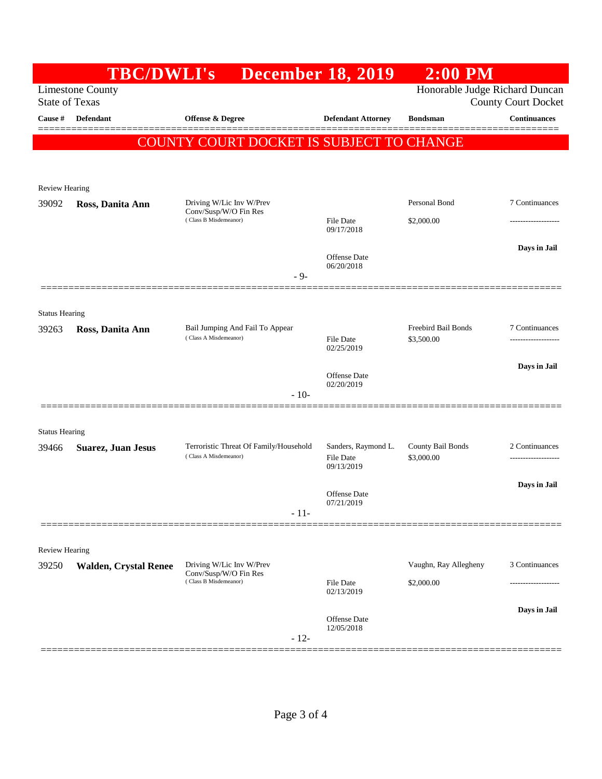|                                                  | <b>TBC/DWLI's</b>            |                                                                            | <b>December 18, 2019</b>                                     | $2:00$ PM                         |                     |
|--------------------------------------------------|------------------------------|----------------------------------------------------------------------------|--------------------------------------------------------------|-----------------------------------|---------------------|
| <b>Limestone County</b><br><b>State of Texas</b> |                              |                                                                            | Honorable Judge Richard Duncan<br><b>County Court Docket</b> |                                   |                     |
| Cause #                                          | Defendant                    | Offense & Degree                                                           | <b>Defendant Attorney</b>                                    | <b>Bondsman</b>                   | <b>Continuances</b> |
|                                                  |                              | COUNTY COURT DOCKET IS SUBJECT TO CHANGE                                   |                                                              |                                   | ======              |
|                                                  |                              |                                                                            |                                                              |                                   |                     |
| <b>Review Hearing</b>                            |                              |                                                                            |                                                              |                                   |                     |
| 39092                                            | Ross, Danita Ann             | Driving W/Lic Inv W/Prev<br>Conv/Susp/W/O Fin Res<br>(Class B Misdemeanor) |                                                              | Personal Bond                     | 7 Continuances      |
|                                                  |                              |                                                                            | <b>File Date</b><br>09/17/2018                               | \$2,000.00                        |                     |
|                                                  |                              |                                                                            |                                                              |                                   | Days in Jail        |
|                                                  |                              |                                                                            | <b>Offense</b> Date<br>06/20/2018                            |                                   |                     |
|                                                  |                              | $-9-$                                                                      |                                                              |                                   |                     |
| <b>Status Hearing</b>                            |                              |                                                                            |                                                              |                                   |                     |
| 39263                                            | Ross, Danita Ann             | Bail Jumping And Fail To Appear<br>(Class A Misdemeanor)                   | <b>File Date</b><br>02/25/2019                               | Freebird Bail Bonds<br>\$3,500.00 | 7 Continuances      |
|                                                  |                              |                                                                            |                                                              |                                   |                     |
|                                                  |                              |                                                                            | Offense Date                                                 |                                   | Days in Jail        |
|                                                  |                              | $-10-$                                                                     | 02/20/2019                                                   |                                   |                     |
|                                                  |                              |                                                                            |                                                              |                                   |                     |
| <b>Status Hearing</b>                            |                              |                                                                            |                                                              |                                   |                     |
| 39466                                            | <b>Suarez, Juan Jesus</b>    | Terroristic Threat Of Family/Household<br>(Class A Misdemeanor)            | Sanders, Raymond L.<br>File Date                             | County Bail Bonds<br>\$3,000.00   | 2 Continuances      |
|                                                  |                              |                                                                            | 09/13/2019                                                   |                                   |                     |
|                                                  |                              |                                                                            | Offense Date<br>07/21/2019                                   |                                   | Days in Jail        |
|                                                  |                              | $-11-$                                                                     |                                                              |                                   |                     |
|                                                  |                              |                                                                            |                                                              |                                   |                     |
| Review Hearing<br>39250                          | <b>Walden, Crystal Renee</b> | Driving W/Lic Inv W/Prev                                                   |                                                              | Vaughn, Ray Allegheny             | 3 Continuances      |
|                                                  |                              | Conv/Susp/W/O Fin Res<br>(Class B Misdemeanor)                             | File Date                                                    | \$2,000.00                        |                     |
|                                                  |                              |                                                                            | 02/13/2019                                                   |                                   |                     |
|                                                  |                              |                                                                            | Offense Date<br>12/05/2018                                   |                                   | Days in Jail        |
|                                                  |                              | $-12-$                                                                     |                                                              |                                   |                     |
|                                                  |                              |                                                                            |                                                              |                                   |                     |